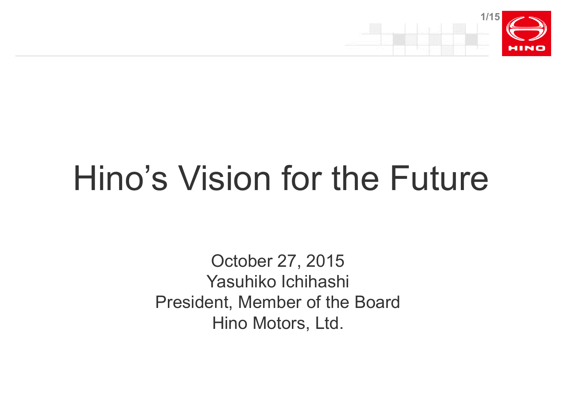

# Hino's Vision for the Future

October 27, 2015 Yasuhiko Ichihashi President, Member of the Board Hino Motors, Ltd.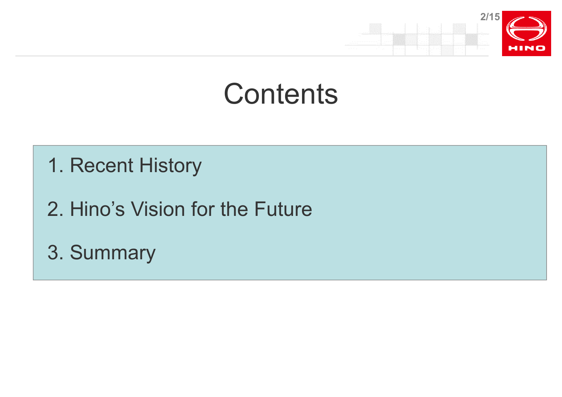

# **Contents**

- 1. Recent History
- 2. Hino's Vision for the Future
- 3. Summary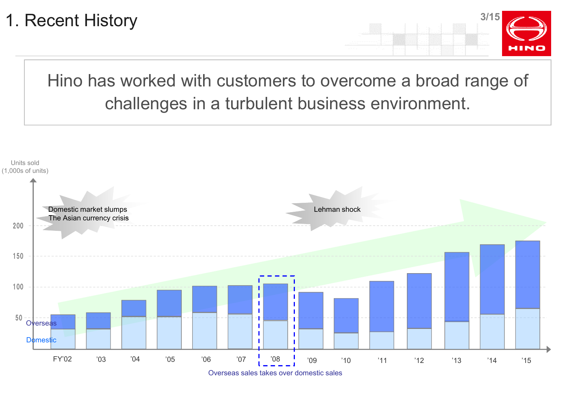

Hino has worked with customers to overcome a broad range of challenges in a turbulent business environment.



Overseas sales takes over domestic sales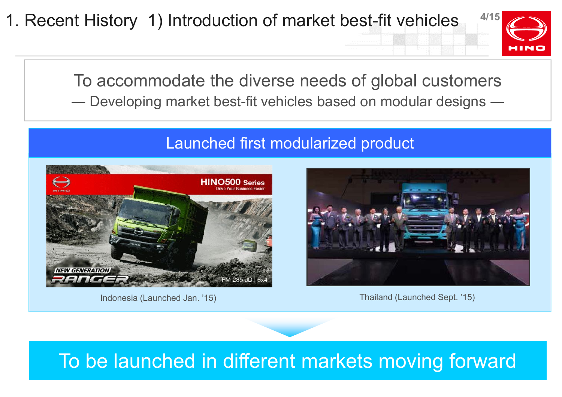1. Recent History 1) Introduction of market best-fit vehicles



To accommodate the diverse needs of global customers ― Developing market best-fit vehicles based on modular designs ―

### Launched first modularized product



Indonesia (Launched Jan. '15)



Thailand (Launched Sept. '15)

# To be launched in different markets moving forward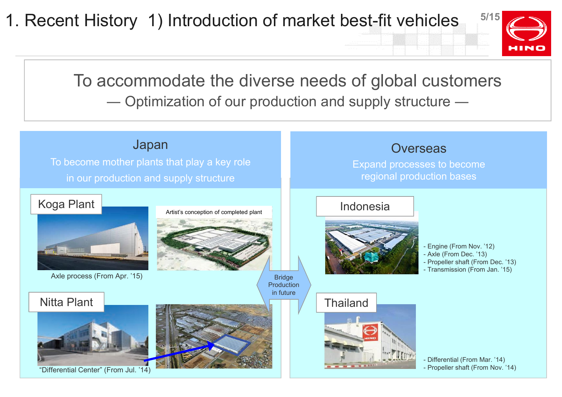**5/15** 1. Recent History 1) Introduction of market best-fit vehicles



To accommodate the diverse needs of global customers ― Optimization of our production and supply structure ―

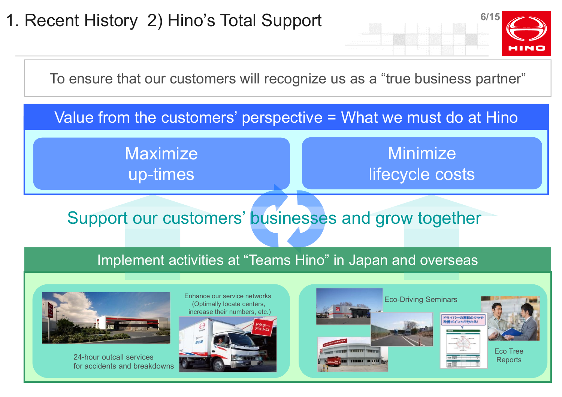**6/15**

To ensure that our customers will recognize us as a "true business partner"

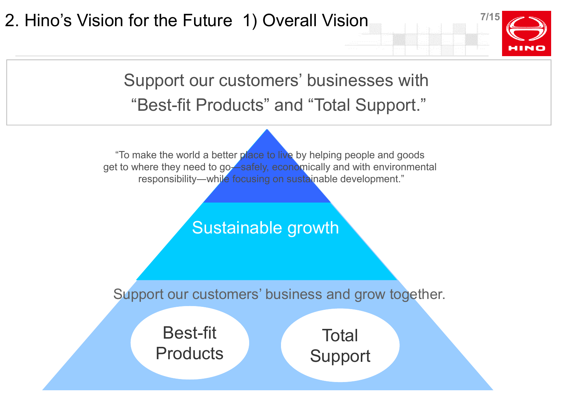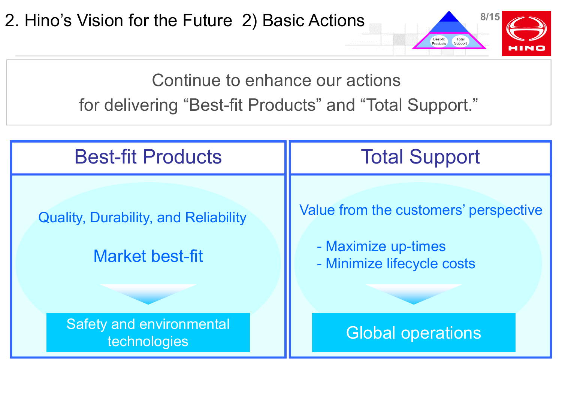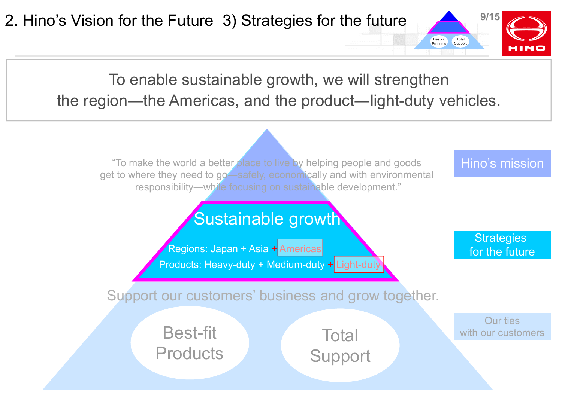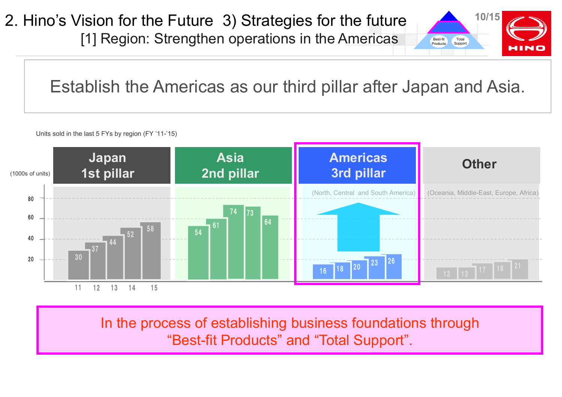2. Hino's Vision for the Future 3) Strategies for the future [1] Region: Strengthen operations in the Americas



Establish the Americas as our third pillar after Japan and Asia.

Units sold in the last 5 FYs by region (FY '11-'15)



In the process of establishing business foundations through "Best-fit Products" and "Total Support".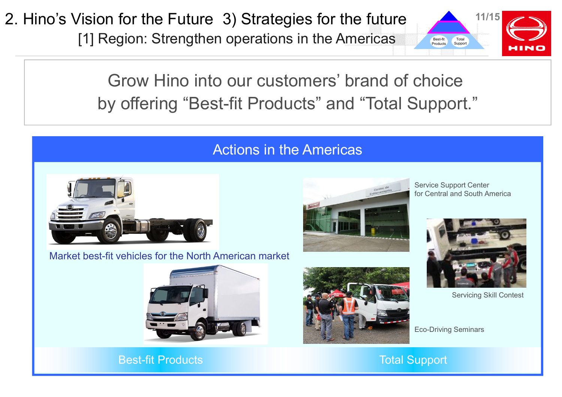2. Hino's Vision for the Future 3) Strategies for the future **11/15**

[1] Region: Strengthen operations in the Americas



Grow Hino into our customers' brand of choice by offering "Best-fit Products" and "Total Support."

### Actions in the Americas



Market best-fit vehicles for the North American market



Service Support Center for Central and South America



Servicing Skill Contest

Eco-Driving Seminars



Best-fit Products

Total Support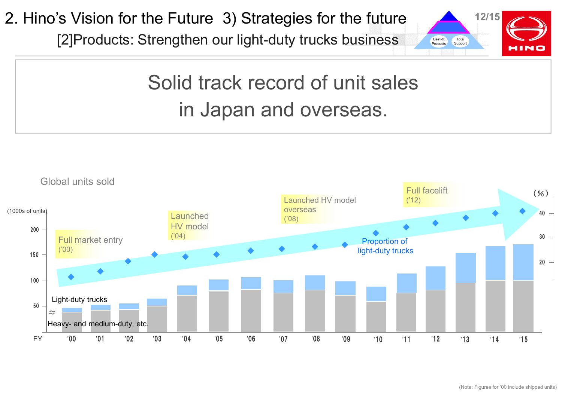2. Hino's Vision for the Future 3) Strategies for the future

[2]Products: Strengthen our light-duty trucks business



# Solid track record of unit sales in Japan and overseas.

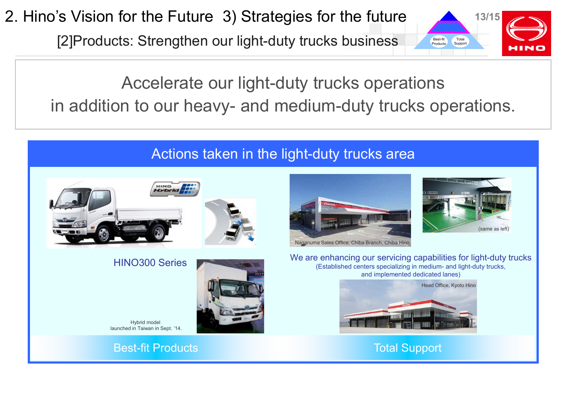2. Hino's Vision for the Future 3) Strategies for the future

[2]Products: Strengthen our light-duty trucks business



(same as left)

# Accelerate our light-duty trucks operations in addition to our heavy- and medium-duty trucks operations.

## Actions taken in the light-duty trucks area



### HINO300 Series



Hybrid model launched in Taiwan in Sept. '14.

Best-fit Products **Total Support** 



We are enhancing our servicing capabilities for light-duty trucks (Established centers specializing in medium- and light-duty trucks, and implemented dedicated lanes)

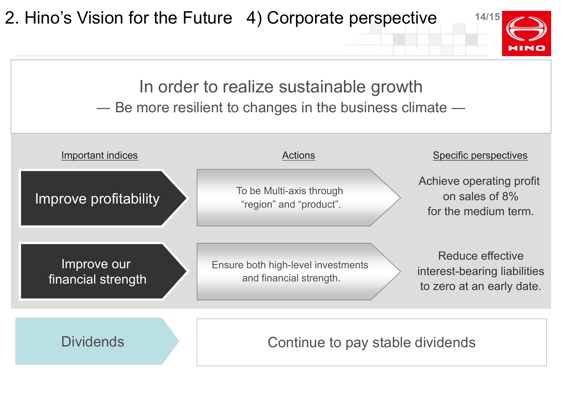**14/15** Achieve operating profit on sales of 8% for the medium term. Reduce effective interest-bearing liabilities to zero at an early date. Improve profitability Improve our financial strength Dividends **Dividends Continue to pay stable dividends** In order to realize sustainable growth ― Be more resilient to changes in the business climate ― 2. Hino's Vision for the Future 4) Corporate perspective To be Multi-axis through "region" and "product". Ensure both high-level investments and financial strength. Important indices and the settlement of the Actions of Actions Specific perspectives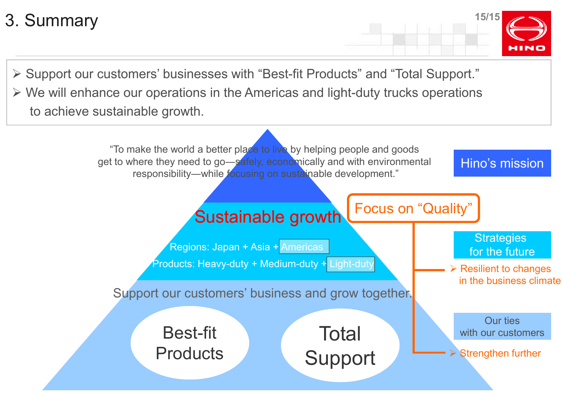**15/15** 3. Summary

 Support our customers' businesses with "Best-fit Products" and "Total Support."  $\triangleright$  We will enhance our operations in the Americas and light-duty trucks operations to achieve sustainable growth.